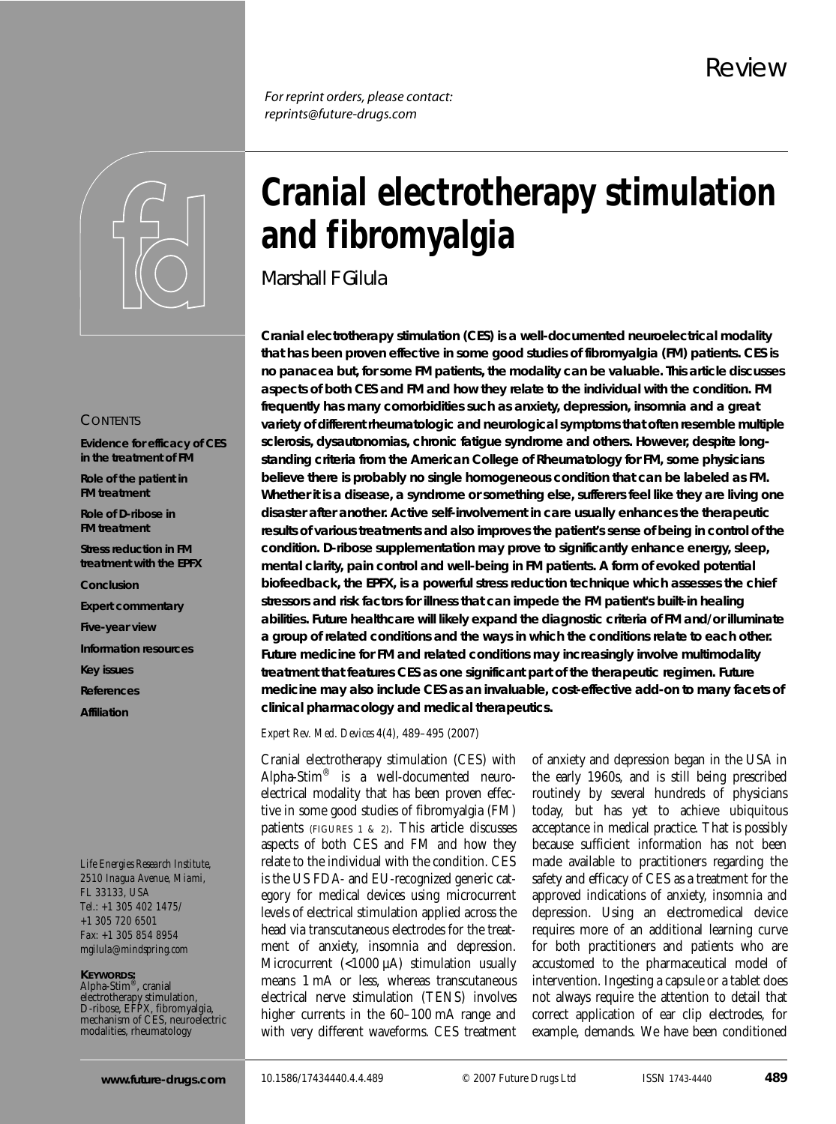*For reprint orders, please contact: reprints@future-drugs.com*



## **CONTENTS**

**Evidence for efficacy of CES in the treatment of FM** 

**Role of the patient in FM treatment** 

**Role of D-ribose in FM treatment** 

**Stress reduction in FM treatment with the EPFX** 

**Conclusion** 

**Expert commentary** 

**Five-year view** 

**Information resources** 

**Key issues**

**References** 

**Affiliation** 

*Life Energies Research Institute, 2510 Inagua Avenue, Miami, FL 33133, USA Tel.: +1 305 402 1475/ +1 305 720 6501 Fax: +1 305 854 8954 mgilula@mindspring.com*

**KEYWORDS:**  Alpha-Stim®, cranial electrotherapy stimulation, D-ribose, EFPX, fibromyalgia, mechanism of CES, neuroelectric modalities, rheumatology

# **Cranial electrotherapy stimulation and fibromyalgia**

*Marshall F Gilula*

**Cranial electrotherapy stimulation (CES) is a well-documented neuroelectrical modality that has been proven effective in some good studies of fibromyalgia (FM) patients. CES is no panacea but, for some FM patients, the modality can be valuable. This article discusses aspects of both CES and FM and how they relate to the individual with the condition. FM frequently has many comorbidities such as anxiety, depression, insomnia and a great variety of different rheumatologic and neurological symptoms that often resemble multiple sclerosis, dysautonomias, chronic fatigue syndrome and others. However, despite longstanding criteria from the American College of Rheumatology for FM, some physicians believe there is probably no single homogeneous condition that can be labeled as FM. Whether it is a disease, a syndrome or something else, sufferers feel like they are living one disaster after another. Active self-involvement in care usually enhances the therapeutic results of various treatments and also improves the patient's sense of being in control of the condition. D-ribose supplementation may prove to significantly enhance energy, sleep, mental clarity, pain control and well-being in FM patients. A form of evoked potential biofeedback, the EPFX, is a powerful stress reduction technique which assesses the chief stressors and risk factors for illness that can impede the FM patient's built-in healing abilities. Future healthcare will likely expand the diagnostic criteria of FM and/or illuminate a group of related conditions and the ways in which the conditions relate to each other. Future medicine for FM and related conditions may increasingly involve multimodality treatment that features CES as one significant part of the therapeutic regimen. Future medicine may also include CES as an invaluable, cost-effective add-on to many facets of clinical pharmacology and medical therapeutics.**

*Expert Rev. Med. Devices* 4(4), 489–495 (2007)

Cranial electrotherapy stimulation (CES) with Alpha-Stim® is a well-documented neuroelectrical modality that has been proven effective in some good studies of fibromyalgia (FM) patients (FIGURES 1 & 2). This article discusses aspects of both CES and FM and how they relate to the individual with the condition. CES is the US FDA- and EU-recognized generic category for medical devices using microcurrent levels of electrical stimulation applied across the head via transcutaneous electrodes for the treatment of anxiety, insomnia and depression. Microcurrent (<1000 µA) stimulation usually means 1 mA or less, whereas transcutaneous electrical nerve stimulation (TENS) involves higher currents in the 60–100 mA range and with very different waveforms. CES treatment

of anxiety and depression began in the USA in the early 1960s, and is still being prescribed routinely by several hundreds of physicians today, but has yet to achieve ubiquitous acceptance in medical practice. That is possibly because sufficient information has not been made available to practitioners regarding the safety and efficacy of CES as a treatment for the approved indications of anxiety, insomnia and depression. Using an electromedical device requires more of an additional learning curve for both practitioners and patients who are accustomed to the pharmaceutical model of intervention. Ingesting a capsule or a tablet does not always require the attention to detail that correct application of ear clip electrodes, for example, demands. We have been conditioned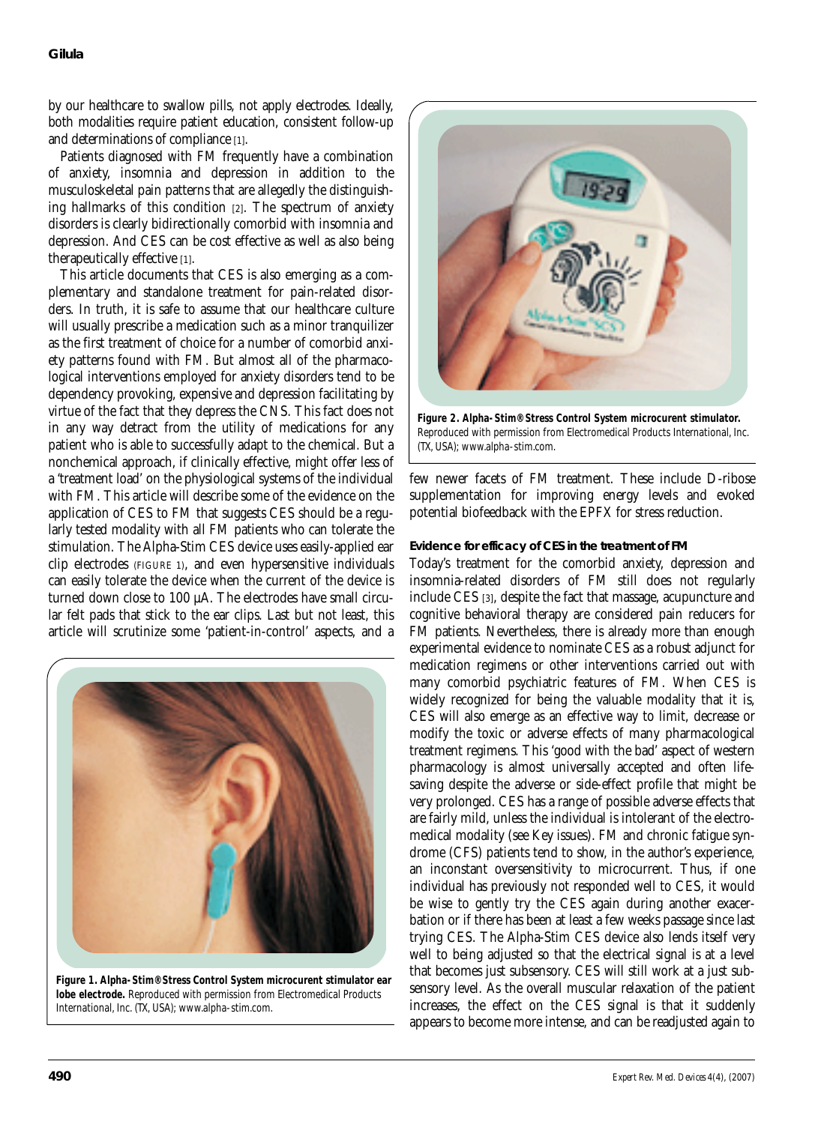by our healthcare to swallow pills, not apply electrodes. Ideally, both modalities require patient education, consistent follow-up and determinations of compliance [1].

Patients diagnosed with FM frequently have a combination of anxiety, insomnia and depression in addition to the musculoskeletal pain patterns that are allegedly the distinguishing hallmarks of this condition [2]. The spectrum of anxiety disorders is clearly bidirectionally comorbid with insomnia and depression. And CES can be cost effective as well as also being therapeutically effective [1].

This article documents that CES is also emerging as a complementary and standalone treatment for pain-related disorders. In truth, it is safe to assume that our healthcare culture will usually prescribe a medication such as a minor tranquilizer as the first treatment of choice for a number of comorbid anxiety patterns found with FM. But almost all of the pharmacological interventions employed for anxiety disorders tend to be dependency provoking, expensive and depression facilitating by virtue of the fact that they depress the CNS. This fact does not in any way detract from the utility of medications for any patient who is able to successfully adapt to the chemical. But a nonchemical approach, if clinically effective, might offer less of a 'treatment load' on the physiological systems of the individual with FM. This article will describe some of the evidence on the application of CES to FM that suggests CES should be a regularly tested modality with all FM patients who can tolerate the stimulation. The Alpha-Stim CES device uses easily-applied ear clip electrodes (FIGURE 1), and even hypersensitive individuals can easily tolerate the device when the current of the device is turned down close to 100 µA. The electrodes have small circular felt pads that stick to the ear clips. Last but not least, this article will scrutinize some 'patient-in-control' aspects, and a



**Figure 1. Alpha-Stim® Stress Control System microcurent stimulator ear lobe electrode.** Reproduced with permission from Electromedical Products International, Inc. (TX, USA); www.alpha-stim.com.



**Figure 2. Alpha-Stim® Stress Control System microcurent stimulator.**  Reproduced with permission from Electromedical Products International, Inc. (TX, USA); www.alpha-stim.com.

few newer facets of FM treatment. These include D-ribose supplementation for improving energy levels and evoked potential biofeedback with the EPFX for stress reduction.

#### **Evidence for efficacy of CES in the treatment of FM**

Today's treatment for the comorbid anxiety, depression and insomnia-related disorders of FM still does not regularly include CES [3], despite the fact that massage, acupuncture and cognitive behavioral therapy are considered pain reducers for FM patients. Nevertheless, there is already more than enough experimental evidence to nominate CES as a robust adjunct for medication regimens or other interventions carried out with many comorbid psychiatric features of FM. When CES is widely recognized for being the valuable modality that it is, CES will also emerge as an effective way to limit, decrease or modify the toxic or adverse effects of many pharmacological treatment regimens. This 'good with the bad' aspect of western pharmacology is almost universally accepted and often lifesaving despite the adverse or side-effect profile that might be very prolonged. CES has a range of possible adverse effects that are fairly mild, unless the individual is intolerant of the electromedical modality (see Key issues). FM and chronic fatigue syndrome (CFS) patients tend to show, in the author's experience, an inconstant oversensitivity to microcurrent. Thus, if one individual has previously not responded well to CES, it would be wise to gently try the CES again during another exacerbation or if there has been at least a few weeks passage since last trying CES. The Alpha-Stim CES device also lends itself very well to being adjusted so that the electrical signal is at a level that becomes just subsensory. CES will still work at a just subsensory level. As the overall muscular relaxation of the patient increases, the effect on the CES signal is that it suddenly appears to become more intense, and can be readjusted again to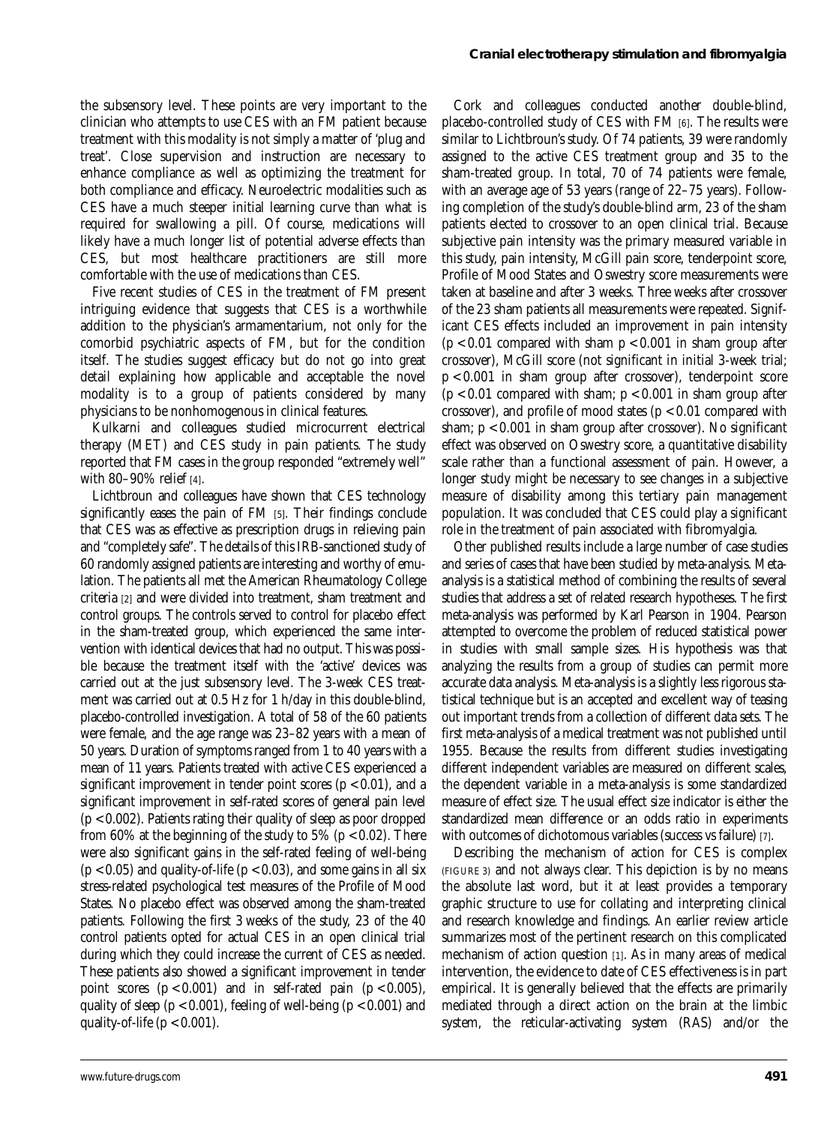the subsensory level. These points are very important to the clinician who attempts to use CES with an FM patient because treatment with this modality is not simply a matter of 'plug and treat'. Close supervision and instruction are necessary to enhance compliance as well as optimizing the treatment for both compliance and efficacy. Neuroelectric modalities such as CES have a much steeper initial learning curve than what is required for swallowing a pill. Of course, medications will likely have a much longer list of potential adverse effects than CES, but most healthcare practitioners are still more comfortable with the use of medications than CES.

Five recent studies of CES in the treatment of FM present intriguing evidence that suggests that CES is a worthwhile addition to the physician's armamentarium, not only for the comorbid psychiatric aspects of FM, but for the condition itself. The studies suggest efficacy but do not go into great detail explaining how applicable and acceptable the novel modality is to a group of patients considered by many physicians to be nonhomogenous in clinical features.

Kulkarni and colleagues studied microcurrent electrical therapy (MET) and CES study in pain patients. The study reported that FM cases in the group responded "extremely well" with 80–90% relief [4].

Lichtbroun and colleagues have shown that CES technology significantly eases the pain of FM [5]. Their findings conclude that CES was as effective as prescription drugs in relieving pain and "completely safe". The details of this IRB-sanctioned study of 60 randomly assigned patients are interesting and worthy of emulation. The patients all met the American Rheumatology College criteria [2] and were divided into treatment, sham treatment and control groups. The controls served to control for placebo effect in the sham-treated group, which experienced the same intervention with identical devices that had no output. This was possible because the treatment itself with the 'active' devices was carried out at the just subsensory level. The 3-week CES treatment was carried out at 0.5 Hz for 1 h/day in this double-blind, placebo-controlled investigation. A total of 58 of the 60 patients were female, and the age range was 23–82 years with a mean of 50 years. Duration of symptoms ranged from 1 to 40 years with a mean of 11 years. Patients treated with active CES experienced a significant improvement in tender point scores  $(p < 0.01)$ , and a significant improvement in self-rated scores of general pain level (p < 0.002). Patients rating their quality of sleep as poor dropped from  $60\%$  at the beginning of the study to  $5\%$  (p < 0.02). There were also significant gains in the self-rated feeling of well-being  $(p < 0.05)$  and quality-of-life  $(p < 0.03)$ , and some gains in all six stress-related psychological test measures of the Profile of Mood States. No placebo effect was observed among the sham-treated patients. Following the first 3 weeks of the study, 23 of the 40 control patients opted for actual CES in an open clinical trial during which they could increase the current of CES as needed. These patients also showed a significant improvement in tender point scores  $(p < 0.001)$  and in self-rated pain  $(p < 0.005)$ , quality of sleep ( $p < 0.001$ ), feeling of well-being ( $p < 0.001$ ) and quality-of-life  $(p < 0.001)$ .

Cork and colleagues conducted another double-blind, placebo-controlled study of CES with FM [6]. The results were similar to Lichtbroun's study. Of 74 patients, 39 were randomly assigned to the active CES treatment group and 35 to the sham-treated group. In total, 70 of 74 patients were female, with an average age of 53 years (range of 22–75 years). Following completion of the study's double-blind arm, 23 of the sham patients elected to crossover to an open clinical trial. Because subjective pain intensity was the primary measured variable in this study, pain intensity, McGill pain score, tenderpoint score, Profile of Mood States and Oswestry score measurements were taken at baseline and after 3 weeks. Three weeks after crossover of the 23 sham patients all measurements were repeated. Significant CES effects included an improvement in pain intensity  $(p < 0.01$  compared with sham  $p < 0.001$  in sham group after crossover), McGill score (not significant in initial 3-week trial; p < 0.001 in sham group after crossover), tenderpoint score  $(p < 0.01$  compared with sham;  $p < 0.001$  in sham group after crossover), and profile of mood states (p < 0.01 compared with sham; p < 0.001 in sham group after crossover). No significant effect was observed on Oswestry score, a quantitative disability scale rather than a functional assessment of pain. However, a longer study might be necessary to see changes in a subjective measure of disability among this tertiary pain management population. It was concluded that CES could play a significant role in the treatment of pain associated with fibromyalgia.

Other published results include a large number of case studies and series of cases that have been studied by meta-analysis. Metaanalysis is a statistical method of combining the results of several studies that address a set of related research hypotheses. The first meta-analysis was performed by Karl Pearson in 1904. Pearson attempted to overcome the problem of reduced statistical power in studies with small sample sizes. His hypothesis was that analyzing the results from a group of studies can permit more accurate data analysis. Meta-analysis is a slightly less rigorous statistical technique but is an accepted and excellent way of teasing out important trends from a collection of different data sets. The first meta-analysis of a medical treatment was not published until 1955. Because the results from different studies investigating different independent variables are measured on different scales, the dependent variable in a meta-analysis is some standardized measure of effect size. The usual effect size indicator is either the standardized mean difference or an odds ratio in experiments with outcomes of dichotomous variables (success vs failure) [7].

Describing the mechanism of action for CES is complex (FIGURE 3) and not always clear. This depiction is by no means the absolute last word, but it at least provides a temporary graphic structure to use for collating and interpreting clinical and research knowledge and findings. An earlier review article summarizes most of the pertinent research on this complicated mechanism of action question [1]. As in many areas of medical intervention, the evidence to date of CES effectiveness is in part empirical. It is generally believed that the effects are primarily mediated through a direct action on the brain at the limbic system, the reticular-activating system (RAS) and/or the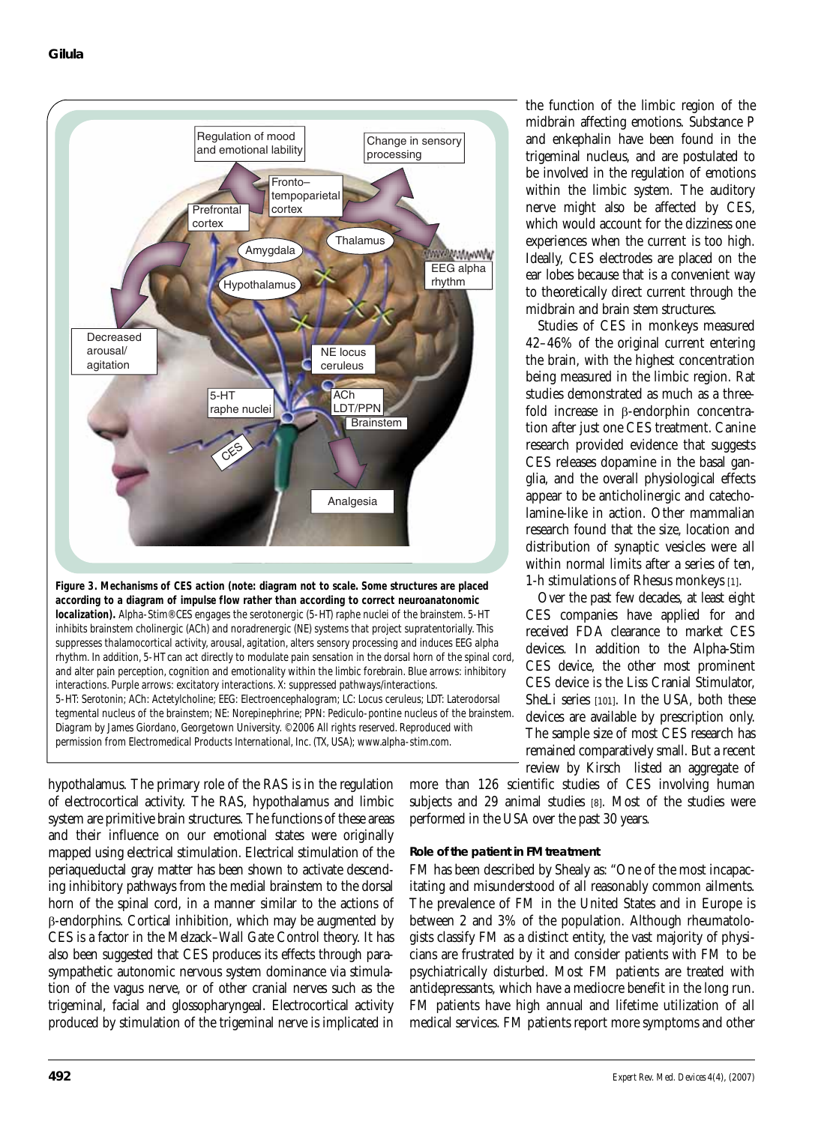

**according to a diagram of impulse flow rather than according to correct neuroanatonomic localization).** Alpha-Stim® CES engages the serotonergic (5-HT) raphe nuclei of the brainstem. 5-HT inhibits brainstem cholinergic (ACh) and noradrenergic (NE) systems that project supratentorially. This suppresses thalamocortical activity, arousal, agitation, alters sensory processing and induces EEG alpha rhythm. In addition, 5-HT can act directly to modulate pain sensation in the dorsal horn of the spinal cord, and alter pain perception, cognition and emotionality within the limbic forebrain. Blue arrows: inhibitory interactions. Purple arrows: excitatory interactions. X: suppressed pathways/interactions. 5-HT: Serotonin; ACh: Actetylcholine; EEG: Electroencephalogram; LC: Locus ceruleus; LDT: Laterodorsal tegmental nucleus of the brainstem; NE: Norepinephrine; PPN: Pediculo-pontine nucleus of the brainstem. Diagram by James Giordano, Georgetown University. © 2006 All rights reserved. Reproduced with permission from Electromedical Products International, Inc. (TX, USA); www.alpha-stim.com.

hypothalamus. The primary role of the RAS is in the regulation of electrocortical activity. The RAS, hypothalamus and limbic system are primitive brain structures. The functions of these areas and their influence on our emotional states were originally mapped using electrical stimulation. Electrical stimulation of the periaqueductal gray matter has been shown to activate descending inhibitory pathways from the medial brainstem to the dorsal horn of the spinal cord, in a manner similar to the actions of β-endorphins. Cortical inhibition, which may be augmented by CES is a factor in the Melzack–Wall Gate Control theory. It has also been suggested that CES produces its effects through parasympathetic autonomic nervous system dominance via stimulation of the vagus nerve, or of other cranial nerves such as the trigeminal, facial and glossopharyngeal. Electrocortical activity produced by stimulation of the trigeminal nerve is implicated in

the function of the limbic region of the midbrain affecting emotions. Substance P and enkephalin have been found in the trigeminal nucleus, and are postulated to be involved in the regulation of emotions within the limbic system. The auditory nerve might also be affected by CES, which would account for the dizziness one experiences when the current is too high. Ideally, CES electrodes are placed on the ear lobes because that is a convenient way to theoretically direct current through the midbrain and brain stem structures.

Studies of CES in monkeys measured 42–46% of the original current entering the brain, with the highest concentration being measured in the limbic region. Rat studies demonstrated as much as a threefold increase in β-endorphin concentration after just one CES treatment. Canine research provided evidence that suggests CES releases dopamine in the basal ganglia, and the overall physiological effects appear to be anticholinergic and catecholamine-like in action. Other mammalian research found that the size, location and distribution of synaptic vesicles were all within normal limits after a series of ten, 1-h stimulations of Rhesus monkeys [1].

Over the past few decades, at least eight CES companies have applied for and received FDA clearance to market CES devices. In addition to the Alpha-Stim CES device, the other most prominent CES device is the Liss Cranial Stimulator, SheLi series [101]. In the USA, both these devices are available by prescription only. The sample size of most CES research has remained comparatively small. But a recent review by Kirsch listed an aggregate of

more than 126 scientific studies of CES involving human subjects and 29 animal studies [8]. Most of the studies were performed in the USA over the past 30 years.

## **Role of the patient in FM treatment**

FM has been described by Shealy as: "One of the most incapacitating and misunderstood of all reasonably common ailments. The prevalence of FM in the United States and in Europe is between 2 and 3% of the population. Although rheumatologists classify FM as a distinct entity, the vast majority of physicians are frustrated by it and consider patients with FM to be psychiatrically disturbed. Most FM patients are treated with antidepressants, which have a mediocre benefit in the long run. FM patients have high annual and lifetime utilization of all medical services. FM patients report more symptoms and other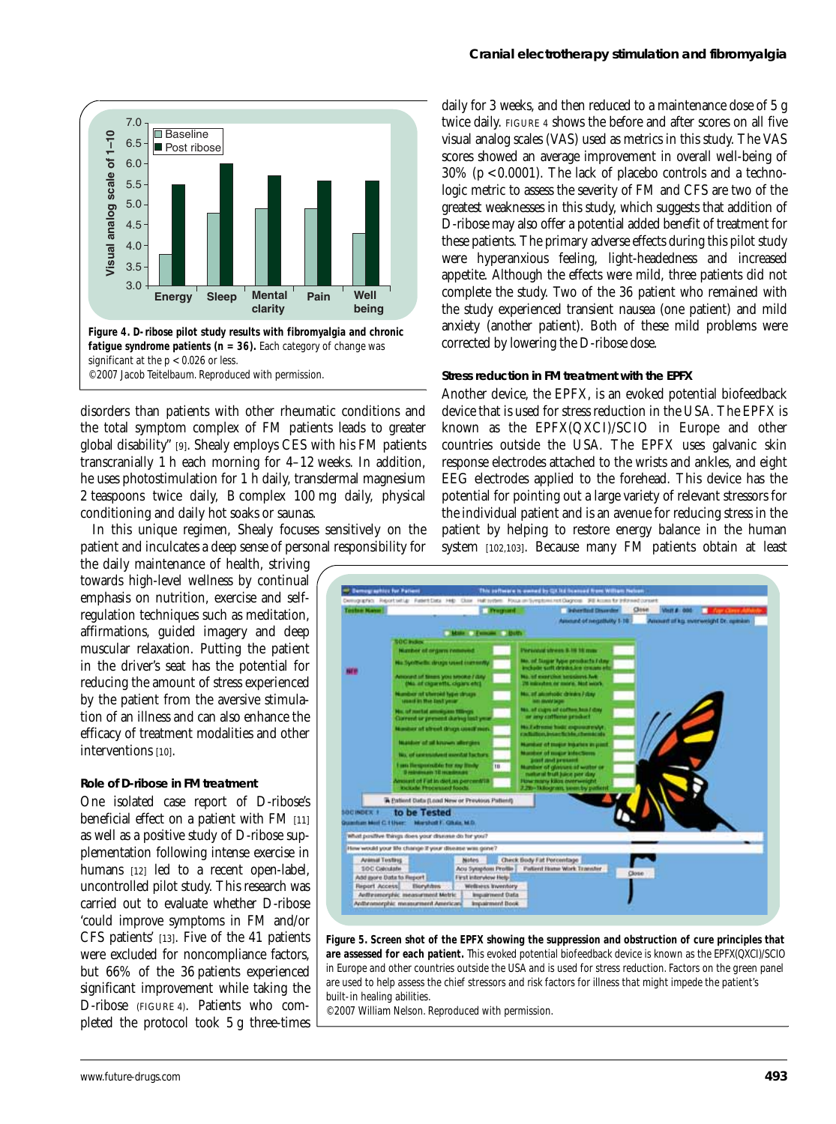

disorders than patients with other rheumatic conditions and the total symptom complex of FM patients leads to greater global disability" [9]. Shealy employs CES with his FM patients transcranially 1 h each morning for 4–12 weeks. In addition, he uses photostimulation for 1 h daily, transdermal magnesium

conditioning and daily hot soaks or saunas. In this unique regimen, Shealy focuses sensitively on the patient and inculcates a deep sense of personal responsibility for

2 teaspoons twice daily, B complex 100 mg daily, physical

the daily maintenance of health, striving towards high-level wellness by continual emphasis on nutrition, exercise and selfregulation techniques such as meditation, affirmations, guided imagery and deep muscular relaxation. Putting the patient in the driver's seat has the potential for reducing the amount of stress experienced by the patient from the aversive stimulation of an illness and can also enhance the efficacy of treatment modalities and other interventions [10].

#### **Role of D-ribose in FM treatment**

One isolated case report of D-ribose's beneficial effect on a patient with FM [11] as well as a positive study of D-ribose supplementation following intense exercise in humans [12] led to a recent open-label, uncontrolled pilot study. This research was carried out to evaluate whether D-ribose 'could improve symptoms in FM and/or CFS patients' [13]. Five of the 41 patients were excluded for noncompliance factors, but 66% of the 36 patients experienced significant improvement while taking the D-ribose (FIGURE 4). Patients who completed the protocol took 5 g three-times

daily for 3 weeks, and then reduced to a maintenance dose of 5 g twice daily. FIGURE 4 shows the before and after scores on all five visual analog scales (VAS) used as metrics in this study. The VAS scores showed an average improvement in overall well-being of 30% (p < 0.0001). The lack of placebo controls and a technologic metric to assess the severity of FM and CFS are two of the greatest weaknesses in this study, which suggests that addition of D-ribose may also offer a potential added benefit of treatment for these patients. The primary adverse effects during this pilot study were hyperanxious feeling, light-headedness and increased appetite. Although the effects were mild, three patients did not complete the study. Two of the 36 patient who remained with the study experienced transient nausea (one patient) and mild anxiety (another patient). Both of these mild problems were corrected by lowering the D-ribose dose.

#### **Stress reduction in FM treatment with the EPFX**

Another device, the EPFX, is an evoked potential biofeedback device that is used for stress reduction in the USA. The EPFX is known as the EPFX(QXCI)/SCIO in Europe and other countries outside the USA. The EPFX uses galvanic skin response electrodes attached to the wrists and ankles, and eight EEG electrodes applied to the forehead. This device has the potential for pointing out a large variety of relevant stressors for the individual patient and is an avenue for reducing stress in the patient by helping to restore energy balance in the human system [102,103]. Because many FM patients obtain at least



**Figure 5. Screen shot of the EPFX showing the suppression and obstruction of cure principles that are assessed for each patient.** This evoked potential biofeedback device is known as the EPFX(QXCI)/SCIO in Europe and other countries outside the USA and is used for stress reduction. Factors on the green panel are used to help assess the chief stressors and risk factors for illness that might impede the patient's built-in healing abilities.

© 2007 William Nelson. Reproduced with permission.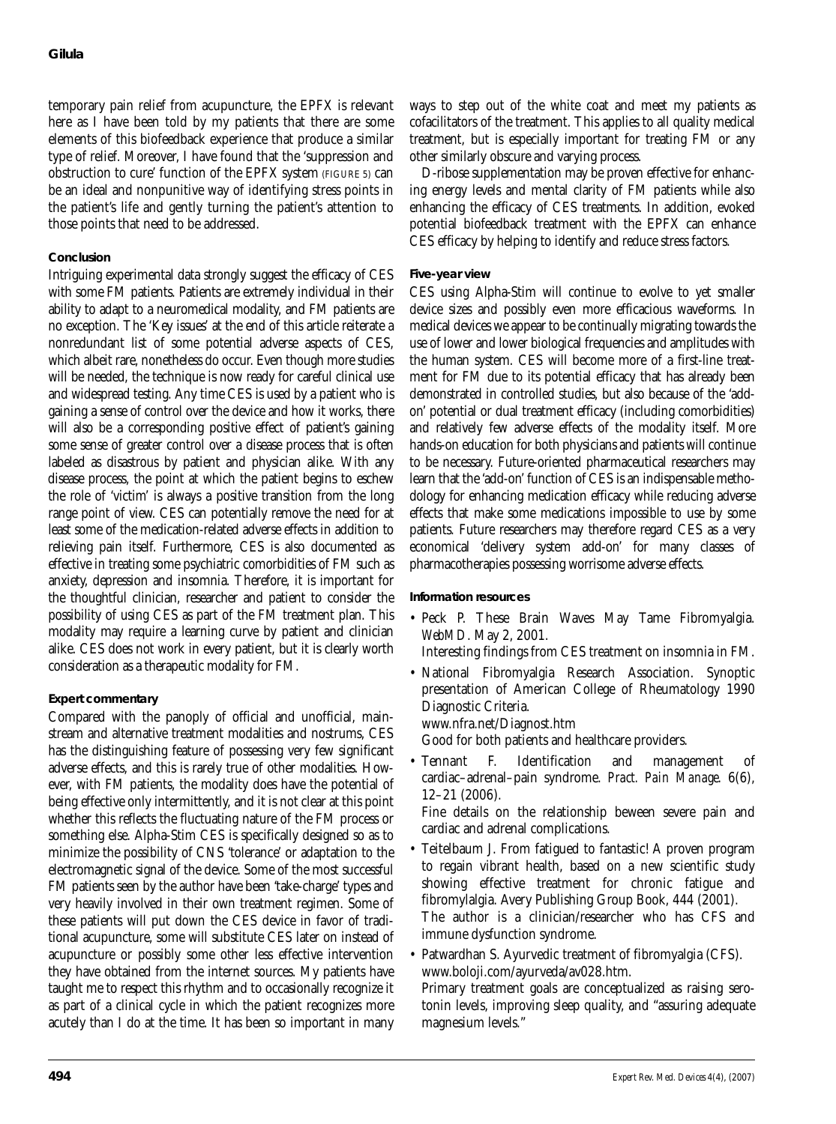temporary pain relief from acupuncture, the EPFX is relevant here as I have been told by my patients that there are some elements of this biofeedback experience that produce a similar type of relief. Moreover, I have found that the 'suppression and obstruction to cure' function of the EPFX system (FIGURE 5) can be an ideal and nonpunitive way of identifying stress points in the patient's life and gently turning the patient's attention to those points that need to be addressed.

## **Conclusion**

Intriguing experimental data strongly suggest the efficacy of CES with some FM patients. Patients are extremely individual in their ability to adapt to a neuromedical modality, and FM patients are no exception. The 'Key issues' at the end of this article reiterate a nonredundant list of some potential adverse aspects of CES, which albeit rare, nonetheless do occur. Even though more studies will be needed, the technique is now ready for careful clinical use and widespread testing. Any time CES is used by a patient who is gaining a sense of control over the device and how it works, there will also be a corresponding positive effect of patient's gaining some sense of greater control over a disease process that is often labeled as disastrous by patient and physician alike. With any disease process, the point at which the patient begins to eschew the role of 'victim' is always a positive transition from the long range point of view. CES can potentially remove the need for at least some of the medication-related adverse effects in addition to relieving pain itself. Furthermore, CES is also documented as effective in treating some psychiatric comorbidities of FM such as anxiety, depression and insomnia. Therefore, it is important for the thoughtful clinician, researcher and patient to consider the possibility of using CES as part of the FM treatment plan. This modality may require a learning curve by patient and clinician alike. CES does not work in every patient, but it is clearly worth consideration as a therapeutic modality for FM.

## **Expert commentary**

Compared with the panoply of official and unofficial, mainstream and alternative treatment modalities and nostrums, CES has the distinguishing feature of possessing very few significant adverse effects, and this is rarely true of other modalities. However, with FM patients, the modality does have the potential of being effective only intermittently, and it is not clear at this point whether this reflects the fluctuating nature of the FM process or something else. Alpha-Stim CES is specifically designed so as to minimize the possibility of CNS 'tolerance' or adaptation to the electromagnetic signal of the device. Some of the most successful FM patients seen by the author have been 'take-charge' types and very heavily involved in their own treatment regimen. Some of these patients will put down the CES device in favor of traditional acupuncture, some will substitute CES later on instead of acupuncture or possibly some other less effective intervention they have obtained from the internet sources. My patients have taught me to respect this rhythm and to occasionally recognize it as part of a clinical cycle in which the patient recognizes more acutely than I do at the time. It has been so important in many

ways to step out of the white coat and meet my patients as cofacilitators of the treatment. This applies to all quality medical treatment, but is especially important for treating FM or any other similarly obscure and varying process.

D-ribose supplementation may be proven effective for enhancing energy levels and mental clarity of FM patients while also enhancing the efficacy of CES treatments. In addition, evoked potential biofeedback treatment with the EPFX can enhance CES efficacy by helping to identify and reduce stress factors.

## **Five-year view**

CES using Alpha-Stim will continue to evolve to yet smaller device sizes and possibly even more efficacious waveforms. In medical devices we appear to be continually migrating towards the use of lower and lower biological frequencies and amplitudes with the human system. CES will become more of a first-line treatment for FM due to its potential efficacy that has already been demonstrated in controlled studies, but also because of the 'addon' potential or dual treatment efficacy (including comorbidities) and relatively few adverse effects of the modality itself. More hands-on education for both physicians and patients will continue to be necessary. Future-oriented pharmaceutical researchers may learn that the 'add-on' function of CES is an indispensable methodology for enhancing medication efficacy while reducing adverse effects that make some medications impossible to use by some patients. Future researchers may therefore regard CES as a very economical 'delivery system add-on' for many classes of pharmacotherapies possessing worrisome adverse effects.

**Information resources**

- Peck P. These Brain Waves May Tame Fibromyalgia. *WebMD*. May 2, 2001.
- Interesting findings from CES treatment on insomnia in FM.
- National Fibromyalgia Research Association. Synoptic presentation of American College of Rheumatology 1990 Diagnostic Criteria.

www.nfra.net/Diagnost.htm

Good for both patients and healthcare providers.

• Tennant F. Identification and management of cardiac–adrenal–pain syndrome. *Pract. Pain Manage.* 6(6), 12–21 (2006).

Fine details on the relationship beween severe pain and cardiac and adrenal complications.

• Teitelbaum J. From fatigued to fantastic! A proven program to regain vibrant health, based on a new scientific study showing effective treatment for chronic fatigue and fibromylalgia. Avery Publishing Group Book, 444 (2001).

The author is a clinician/researcher who has CFS and immune dysfunction syndrome.

• Patwardhan S. Ayurvedic treatment of fibromyalgia (CFS). www.boloji.com/ayurveda/av028.htm.

Primary treatment goals are conceptualized as raising serotonin levels, improving sleep quality, and "assuring adequate magnesium levels."